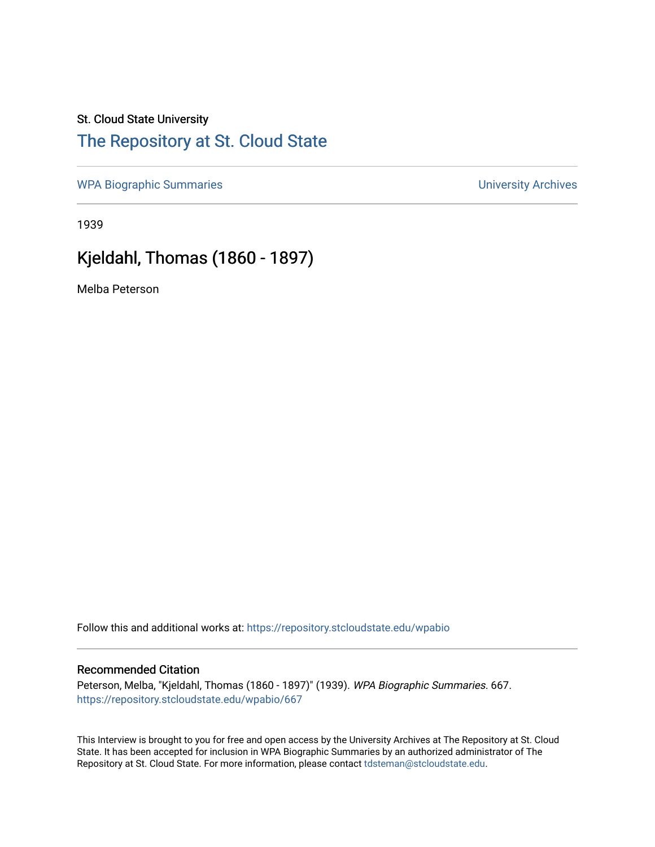### St. Cloud State University

## [The Repository at St. Cloud State](https://repository.stcloudstate.edu/)

[WPA Biographic Summaries](https://repository.stcloudstate.edu/wpabio) **WPA Biographic Summaries University Archives** 

1939

# Kjeldahl, Thomas (1860 - 1897)

Melba Peterson

Follow this and additional works at: [https://repository.stcloudstate.edu/wpabio](https://repository.stcloudstate.edu/wpabio?utm_source=repository.stcloudstate.edu%2Fwpabio%2F667&utm_medium=PDF&utm_campaign=PDFCoverPages) 

#### Recommended Citation

Peterson, Melba, "Kjeldahl, Thomas (1860 - 1897)" (1939). WPA Biographic Summaries. 667. [https://repository.stcloudstate.edu/wpabio/667](https://repository.stcloudstate.edu/wpabio/667?utm_source=repository.stcloudstate.edu%2Fwpabio%2F667&utm_medium=PDF&utm_campaign=PDFCoverPages) 

This Interview is brought to you for free and open access by the University Archives at The Repository at St. Cloud State. It has been accepted for inclusion in WPA Biographic Summaries by an authorized administrator of The Repository at St. Cloud State. For more information, please contact [tdsteman@stcloudstate.edu.](mailto:tdsteman@stcloudstate.edu)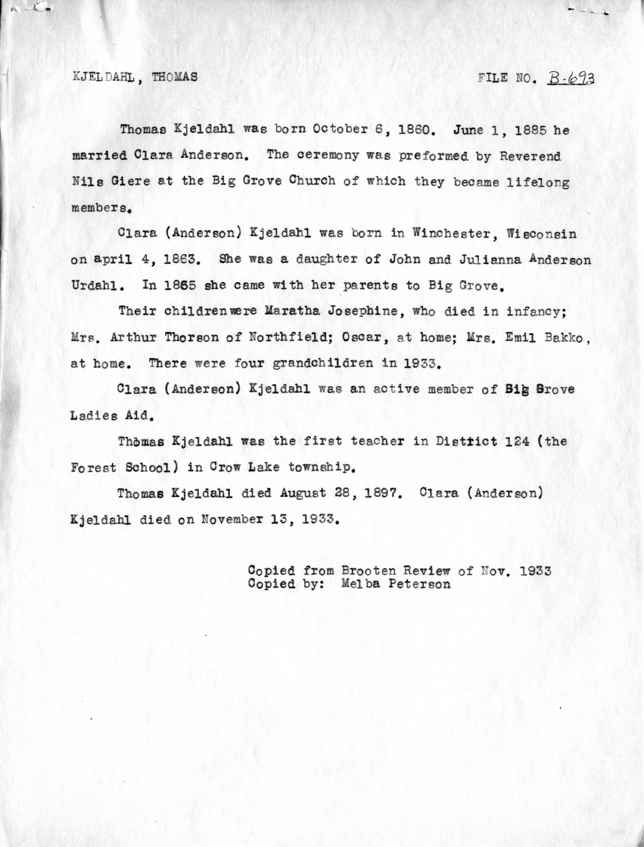#### KJEL DAHL, THOMAS FILE NO.  $B - b93$

 $\frac{1}{2}$ 

Thomas Kjeldahl was born October 6, 1860. June 1, 1885 he married Clara Anderson. The ceremony was preformed by Reverend Nils Giere at the Big Grove Church of which they became lifelong members.

Clara (Anderson) Kjeldahl was born in Winchester, Wisconsin on april 4, 1863. She was a daughter of John and Julianna Anderson Urdahl. In 1865 she came with her parents to Big Grove.

Their childrenwere Maratha Josephine, who died in infancy; Mrs. Arthur Thorson of Northfield; Oscar, at home; Mrs. Emil Bakko, at home. There were four grandchildren in 1933.

Clara (Anderson) Kjeldahl was an active member of **Big Drove**  Ladies **Aid.** 

Thomas Kjeldahl was the first teacher in District 124 (the Forest School) in Crow Lake township.

Thomas Kjeldahl died August 28, 1897. Clara (Anderson) Kjeldahl died on November 13, 1933.

> Copied from Brooten Review of Nov. 1933 Copied by: Melba Peterson